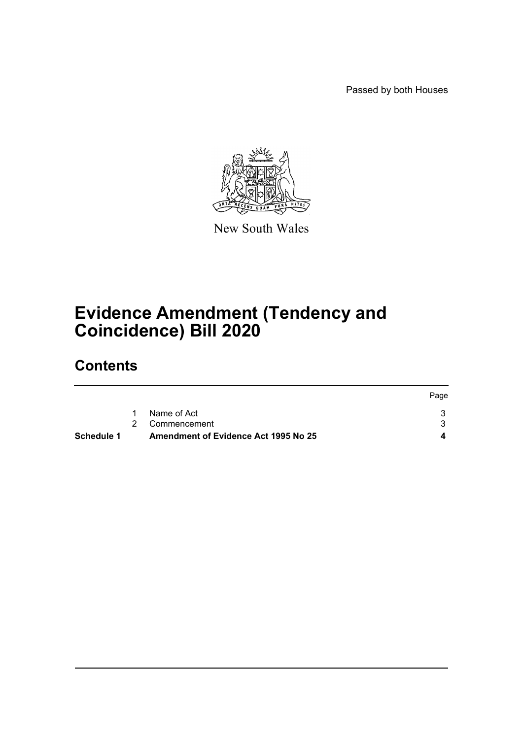Passed by both Houses



New South Wales

# **Evidence Amendment (Tendency and Coincidence) Bill 2020**

# **Contents**

| <b>Schedule 1</b> | <b>Amendment of Evidence Act 1995 No 25</b> |      |
|-------------------|---------------------------------------------|------|
|                   | 2 Commencement                              |      |
|                   | Name of Act                                 |      |
|                   |                                             | Page |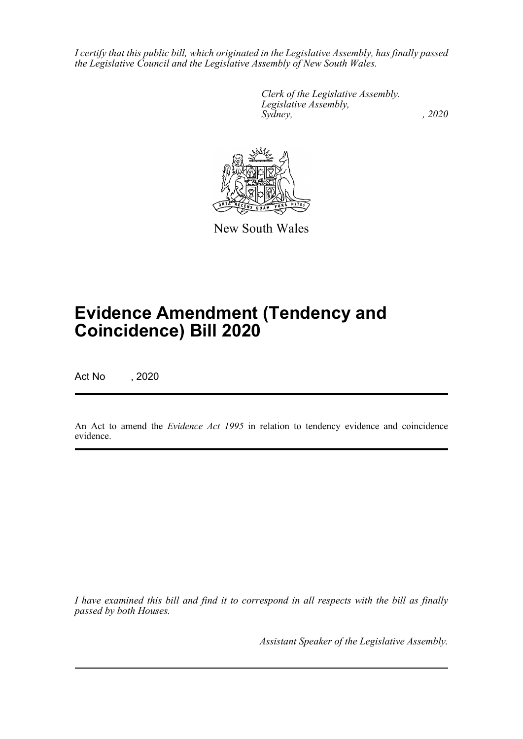*I certify that this public bill, which originated in the Legislative Assembly, has finally passed the Legislative Council and the Legislative Assembly of New South Wales.*

> *Clerk of the Legislative Assembly. Legislative Assembly, Sydney, , 2020*



New South Wales

# **Evidence Amendment (Tendency and Coincidence) Bill 2020**

Act No , 2020

An Act to amend the *Evidence Act 1995* in relation to tendency evidence and coincidence evidence.

*I have examined this bill and find it to correspond in all respects with the bill as finally passed by both Houses.*

*Assistant Speaker of the Legislative Assembly.*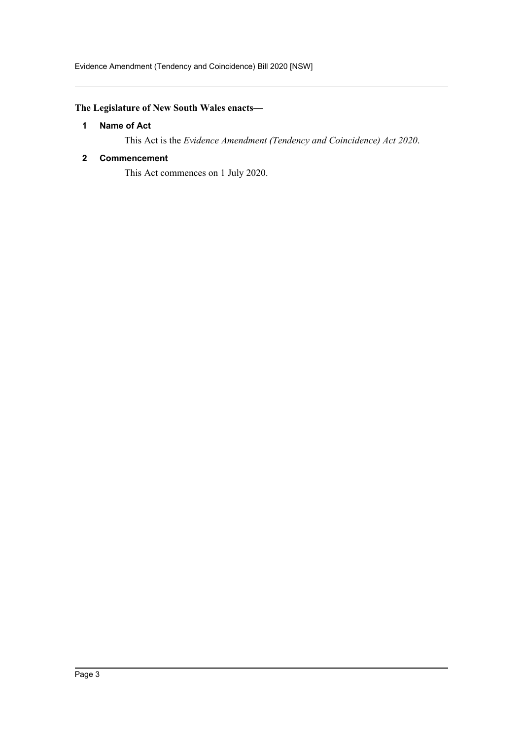# <span id="page-2-0"></span>**The Legislature of New South Wales enacts—**

### **1 Name of Act**

This Act is the *Evidence Amendment (Tendency and Coincidence) Act 2020*.

# <span id="page-2-1"></span>**2 Commencement**

This Act commences on 1 July 2020.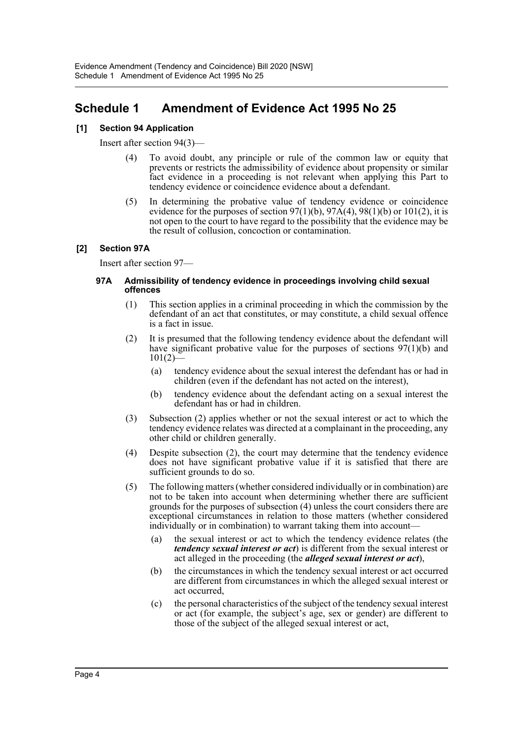# <span id="page-3-0"></span>**Schedule 1 Amendment of Evidence Act 1995 No 25**

# **[1] Section 94 Application**

Insert after section 94(3)—

- (4) To avoid doubt, any principle or rule of the common law or equity that prevents or restricts the admissibility of evidence about propensity or similar fact evidence in a proceeding is not relevant when applying this Part to tendency evidence or coincidence evidence about a defendant.
- (5) In determining the probative value of tendency evidence or coincidence evidence for the purposes of section  $97(1)(b)$ ,  $97A(4)$ ,  $98(1)(b)$  or  $101(2)$ , it is not open to the court to have regard to the possibility that the evidence may be the result of collusion, concoction or contamination.

### **[2] Section 97A**

Insert after section 97—

#### **97A Admissibility of tendency evidence in proceedings involving child sexual offences**

- (1) This section applies in a criminal proceeding in which the commission by the defendant of an act that constitutes, or may constitute, a child sexual offence is a fact in issue.
- (2) It is presumed that the following tendency evidence about the defendant will have significant probative value for the purposes of sections  $97(1)(b)$  and  $101(2)$ 
	- (a) tendency evidence about the sexual interest the defendant has or had in children (even if the defendant has not acted on the interest),
	- (b) tendency evidence about the defendant acting on a sexual interest the defendant has or had in children.
- (3) Subsection (2) applies whether or not the sexual interest or act to which the tendency evidence relates was directed at a complainant in the proceeding, any other child or children generally.
- (4) Despite subsection (2), the court may determine that the tendency evidence does not have significant probative value if it is satisfied that there are sufficient grounds to do so.
- (5) The following matters (whether considered individually or in combination) are not to be taken into account when determining whether there are sufficient grounds for the purposes of subsection (4) unless the court considers there are exceptional circumstances in relation to those matters (whether considered individually or in combination) to warrant taking them into account
	- the sexual interest or act to which the tendency evidence relates (the *tendency sexual interest or act*) is different from the sexual interest or act alleged in the proceeding (the *alleged sexual interest or act*),
	- (b) the circumstances in which the tendency sexual interest or act occurred are different from circumstances in which the alleged sexual interest or act occurred,
	- (c) the personal characteristics of the subject of the tendency sexual interest or act (for example, the subject's age, sex or gender) are different to those of the subject of the alleged sexual interest or act,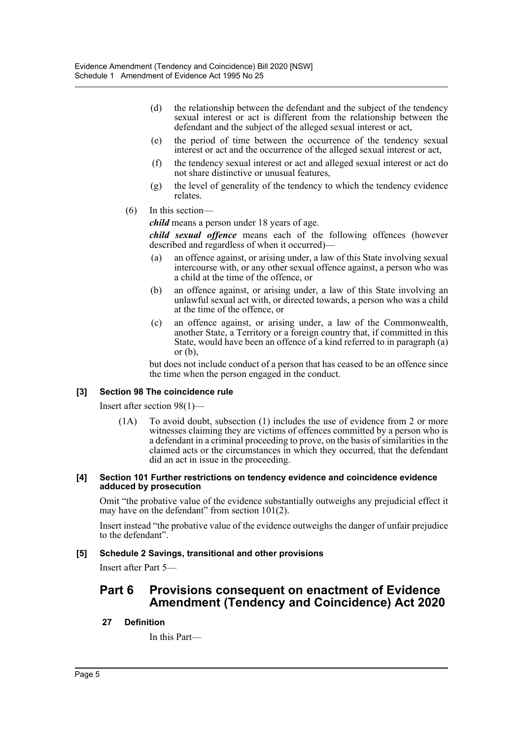- (d) the relationship between the defendant and the subject of the tendency sexual interest or act is different from the relationship between the defendant and the subject of the alleged sexual interest or act,
- (e) the period of time between the occurrence of the tendency sexual interest or act and the occurrence of the alleged sexual interest or act,
- (f) the tendency sexual interest or act and alleged sexual interest or act do not share distinctive or unusual features,
- (g) the level of generality of the tendency to which the tendency evidence relates.
- (6) In this section—

*child* means a person under 18 years of age.

*child sexual offence* means each of the following offences (however described and regardless of when it occurred)—

- (a) an offence against, or arising under, a law of this State involving sexual intercourse with, or any other sexual offence against, a person who was a child at the time of the offence, or
- (b) an offence against, or arising under, a law of this State involving an unlawful sexual act with, or directed towards, a person who was a child at the time of the offence, or
- (c) an offence against, or arising under, a law of the Commonwealth, another State, a Territory or a foreign country that, if committed in this State, would have been an offence of a kind referred to in paragraph (a) or  $(b)$ .

but does not include conduct of a person that has ceased to be an offence since the time when the person engaged in the conduct.

# **[3] Section 98 The coincidence rule**

Insert after section 98(1)—

(1A) To avoid doubt, subsection (1) includes the use of evidence from 2 or more witnesses claiming they are victims of offences committed by a person who is a defendant in a criminal proceeding to prove, on the basis of similarities in the claimed acts or the circumstances in which they occurred, that the defendant did an act in issue in the proceeding.

#### **[4] Section 101 Further restrictions on tendency evidence and coincidence evidence adduced by prosecution**

Omit "the probative value of the evidence substantially outweighs any prejudicial effect it may have on the defendant" from section 101(2).

Insert instead "the probative value of the evidence outweighs the danger of unfair prejudice to the defendant".

#### **[5] Schedule 2 Savings, transitional and other provisions**

Insert after Part 5—

# **Part 6 Provisions consequent on enactment of Evidence Amendment (Tendency and Coincidence) Act 2020**

# **27 Definition**

In this Part—